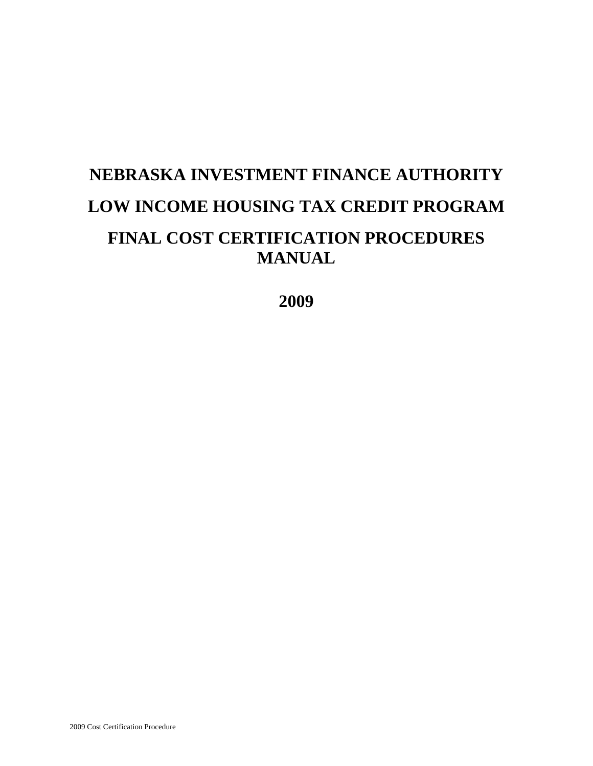# **NEBRASKA INVESTMENT FINANCE AUTHORITY LOW INCOME HOUSING TAX CREDIT PROGRAM FINAL COST CERTIFICATION PROCEDURES MANUAL**

**2009**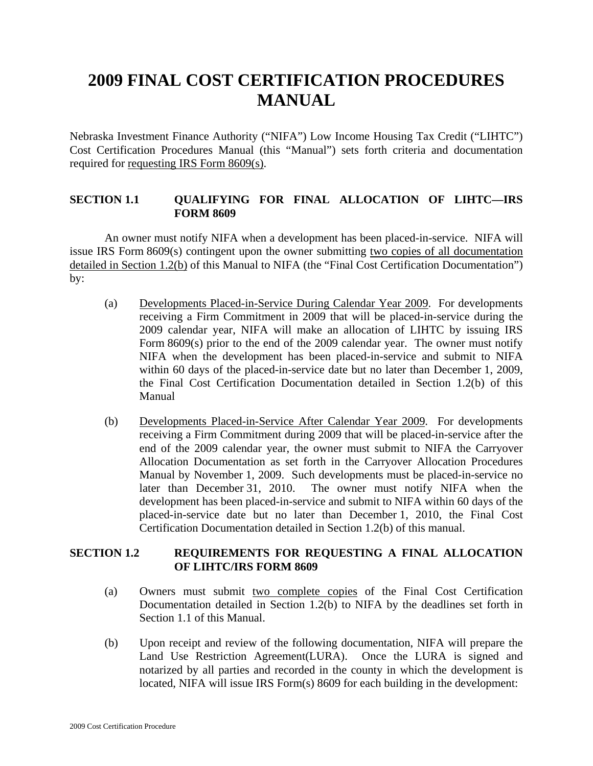# **2009 FINAL COST CERTIFICATION PROCEDURES MANUAL**

Nebraska Investment Finance Authority ("NIFA") Low Income Housing Tax Credit ("LIHTC") Cost Certification Procedures Manual (this "Manual") sets forth criteria and documentation required for requesting IRS Form 8609(s).

#### **SECTION 1.1 QUALIFYING FOR FINAL ALLOCATION OF LIHTC—IRS FORM 8609**

An owner must notify NIFA when a development has been placed-in-service. NIFA will issue IRS Form 8609(s) contingent upon the owner submitting two copies of all documentation detailed in Section 1.2(b) of this Manual to NIFA (the "Final Cost Certification Documentation") by:

- (a) Developments Placed-in-Service During Calendar Year 2009. For developments receiving a Firm Commitment in 2009 that will be placed-in-service during the 2009 calendar year, NIFA will make an allocation of LIHTC by issuing IRS Form 8609(s) prior to the end of the 2009 calendar year. The owner must notify NIFA when the development has been placed-in-service and submit to NIFA within 60 days of the placed-in-service date but no later than December 1, 2009, the Final Cost Certification Documentation detailed in Section 1.2(b) of this Manual
- (b) Developments Placed-in-Service After Calendar Year 2009. For developments receiving a Firm Commitment during 2009 that will be placed-in-service after the end of the 2009 calendar year, the owner must submit to NIFA the Carryover Allocation Documentation as set forth in the Carryover Allocation Procedures Manual by November 1, 2009. Such developments must be placed-in-service no later than December 31, 2010. The owner must notify NIFA when the development has been placed-in-service and submit to NIFA within 60 days of the placed-in-service date but no later than December 1, 2010, the Final Cost Certification Documentation detailed in Section 1.2(b) of this manual.

#### **SECTION 1.2 REQUIREMENTS FOR REQUESTING A FINAL ALLOCATION OF LIHTC/IRS FORM 8609**

- (a) Owners must submit two complete copies of the Final Cost Certification Documentation detailed in Section 1.2(b) to NIFA by the deadlines set forth in Section 1.1 of this Manual.
- (b) Upon receipt and review of the following documentation, NIFA will prepare the Land Use Restriction Agreement(LURA). Once the LURA is signed and notarized by all parties and recorded in the county in which the development is located, NIFA will issue IRS Form(s) 8609 for each building in the development: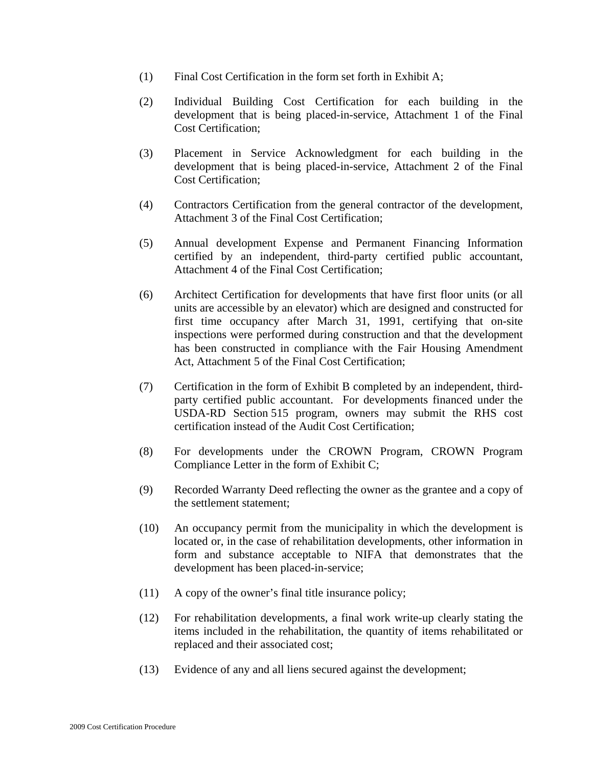- (1) Final Cost Certification in the form set forth in Exhibit A;
- (2) Individual Building Cost Certification for each building in the development that is being placed-in-service, Attachment 1 of the Final Cost Certification;
- (3) Placement in Service Acknowledgment for each building in the development that is being placed-in-service, Attachment 2 of the Final Cost Certification;
- (4) Contractors Certification from the general contractor of the development, Attachment 3 of the Final Cost Certification;
- (5) Annual development Expense and Permanent Financing Information certified by an independent, third-party certified public accountant, Attachment 4 of the Final Cost Certification;
- (6) Architect Certification for developments that have first floor units (or all units are accessible by an elevator) which are designed and constructed for first time occupancy after March 31, 1991, certifying that on-site inspections were performed during construction and that the development has been constructed in compliance with the Fair Housing Amendment Act, Attachment 5 of the Final Cost Certification;
- (7) Certification in the form of Exhibit B completed by an independent, thirdparty certified public accountant. For developments financed under the USDA-RD Section 515 program, owners may submit the RHS cost certification instead of the Audit Cost Certification;
- (8) For developments under the CROWN Program, CROWN Program Compliance Letter in the form of Exhibit C;
- (9) Recorded Warranty Deed reflecting the owner as the grantee and a copy of the settlement statement;
- (10) An occupancy permit from the municipality in which the development is located or, in the case of rehabilitation developments, other information in form and substance acceptable to NIFA that demonstrates that the development has been placed-in-service;
- (11) A copy of the owner's final title insurance policy;
- (12) For rehabilitation developments, a final work write-up clearly stating the items included in the rehabilitation, the quantity of items rehabilitated or replaced and their associated cost;
- (13) Evidence of any and all liens secured against the development;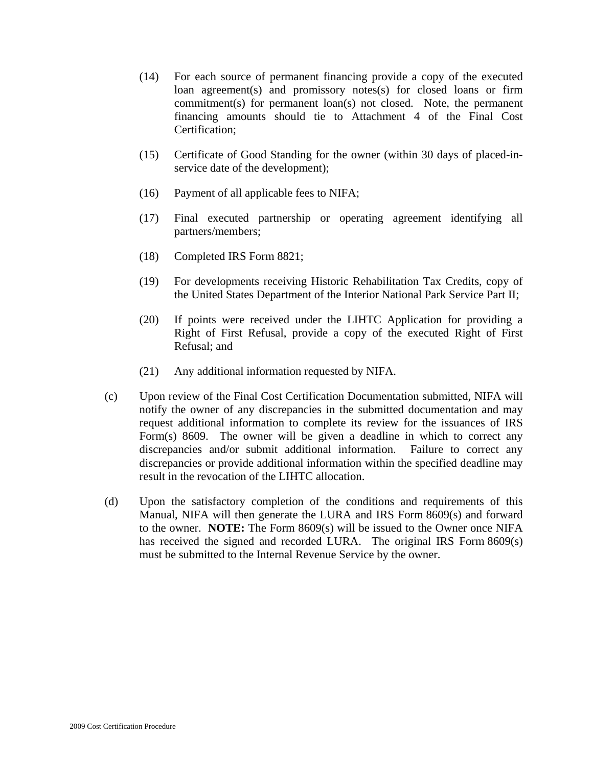- (14) For each source of permanent financing provide a copy of the executed loan agreement(s) and promissory notes(s) for closed loans or firm commitment(s) for permanent loan(s) not closed. Note, the permanent financing amounts should tie to Attachment 4 of the Final Cost Certification;
- (15) Certificate of Good Standing for the owner (within 30 days of placed-inservice date of the development);
- (16) Payment of all applicable fees to NIFA;
- (17) Final executed partnership or operating agreement identifying all partners/members;
- (18) Completed IRS Form 8821;
- (19) For developments receiving Historic Rehabilitation Tax Credits, copy of the United States Department of the Interior National Park Service Part II;
- (20) If points were received under the LIHTC Application for providing a Right of First Refusal, provide a copy of the executed Right of First Refusal; and
- (21) Any additional information requested by NIFA.
- (c) Upon review of the Final Cost Certification Documentation submitted, NIFA will notify the owner of any discrepancies in the submitted documentation and may request additional information to complete its review for the issuances of IRS Form(s) 8609. The owner will be given a deadline in which to correct any discrepancies and/or submit additional information. Failure to correct any discrepancies or provide additional information within the specified deadline may result in the revocation of the LIHTC allocation.
- (d) Upon the satisfactory completion of the conditions and requirements of this Manual, NIFA will then generate the LURA and IRS Form 8609(s) and forward to the owner. **NOTE:** The Form 8609(s) will be issued to the Owner once NIFA has received the signed and recorded LURA. The original IRS Form 8609(s) must be submitted to the Internal Revenue Service by the owner.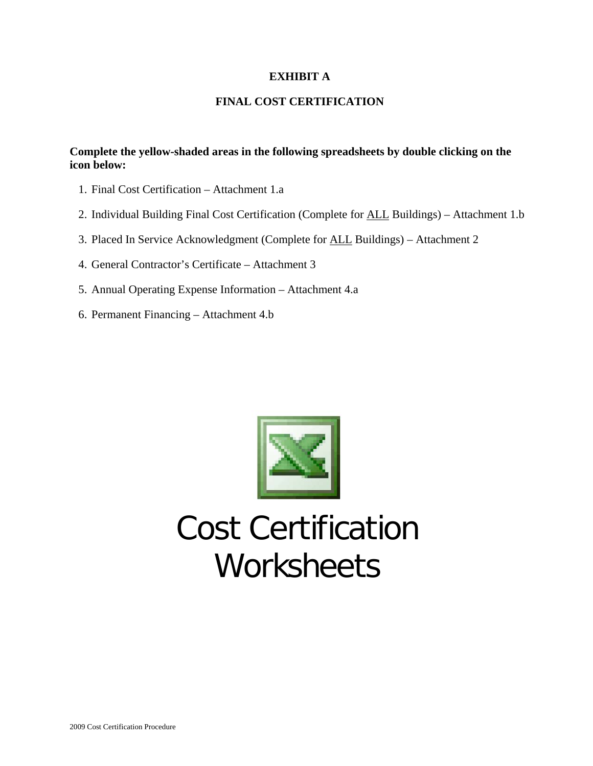#### **EXHIBIT A**

#### **FINAL COST CERTIFICATION**

#### **Complete the yellow-shaded areas in the following spreadsheets by double clicking on the icon below:**

- 1. Final Cost Certification Attachment 1.a
- 2. Individual Building Final Cost Certification (Complete for ALL Buildings) Attachment 1.b
- 3. Placed In Service Acknowledgment (Complete for ALL Buildings) Attachment 2
- 4. General Contractor's Certificate Attachment 3
- 5. Annual Operating Expense Information Attachment 4.a
- 6. Permanent Financing Attachment 4.b



# Cost Certification **Worksheets**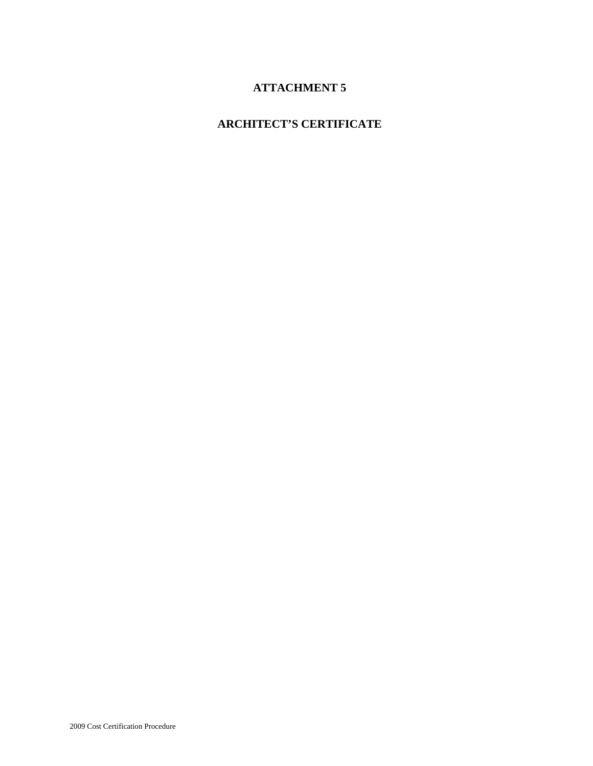# **ATTACHMENT 5**

# **ARCHITECT'S CERTIFICATE**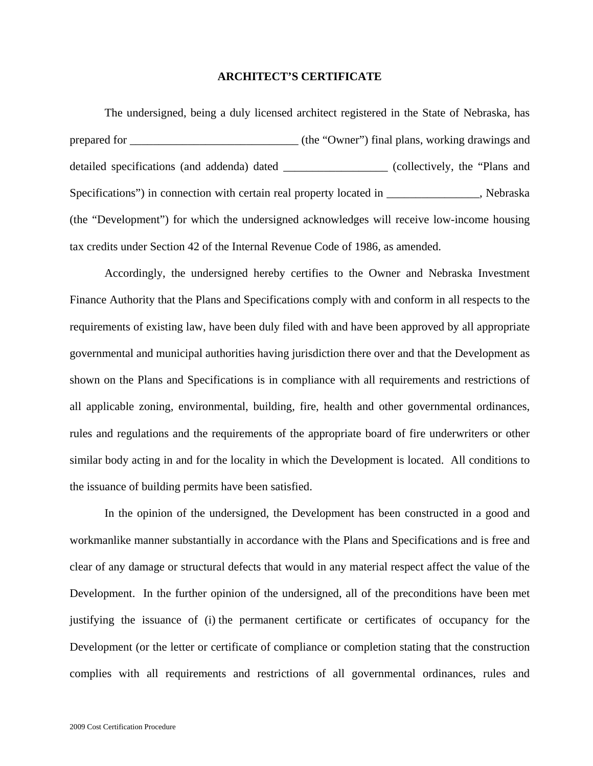#### **ARCHITECT'S CERTIFICATE**

The undersigned, being a duly licensed architect registered in the State of Nebraska, has prepared for  $\qquad \qquad$  (the "Owner") final plans, working drawings and detailed specifications (and addenda) dated \_\_\_\_\_\_\_\_\_\_\_\_\_\_\_\_\_\_ (collectively, the "Plans and Specifications") in connection with certain real property located in \_\_\_\_\_\_\_\_\_\_\_\_\_, Nebraska (the "Development") for which the undersigned acknowledges will receive low-income housing tax credits under Section 42 of the Internal Revenue Code of 1986, as amended.

Accordingly, the undersigned hereby certifies to the Owner and Nebraska Investment Finance Authority that the Plans and Specifications comply with and conform in all respects to the requirements of existing law, have been duly filed with and have been approved by all appropriate governmental and municipal authorities having jurisdiction there over and that the Development as shown on the Plans and Specifications is in compliance with all requirements and restrictions of all applicable zoning, environmental, building, fire, health and other governmental ordinances, rules and regulations and the requirements of the appropriate board of fire underwriters or other similar body acting in and for the locality in which the Development is located. All conditions to the issuance of building permits have been satisfied.

In the opinion of the undersigned, the Development has been constructed in a good and workmanlike manner substantially in accordance with the Plans and Specifications and is free and clear of any damage or structural defects that would in any material respect affect the value of the Development. In the further opinion of the undersigned, all of the preconditions have been met justifying the issuance of (i) the permanent certificate or certificates of occupancy for the Development (or the letter or certificate of compliance or completion stating that the construction complies with all requirements and restrictions of all governmental ordinances, rules and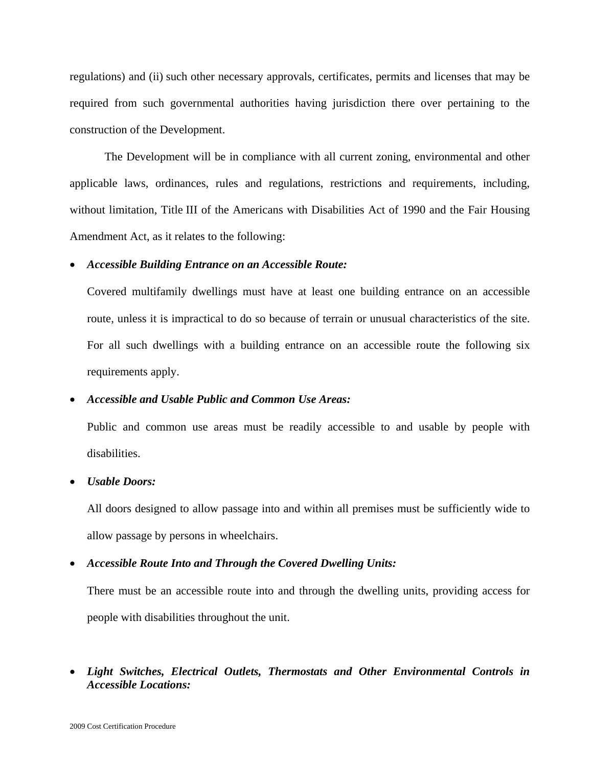regulations) and (ii) such other necessary approvals, certificates, permits and licenses that may be required from such governmental authorities having jurisdiction there over pertaining to the construction of the Development.

The Development will be in compliance with all current zoning, environmental and other applicable laws, ordinances, rules and regulations, restrictions and requirements, including, without limitation, Title III of the Americans with Disabilities Act of 1990 and the Fair Housing Amendment Act, as it relates to the following:

#### • *Accessible Building Entrance on an Accessible Route:*

Covered multifamily dwellings must have at least one building entrance on an accessible route, unless it is impractical to do so because of terrain or unusual characteristics of the site. For all such dwellings with a building entrance on an accessible route the following six requirements apply.

#### • *Accessible and Usable Public and Common Use Areas:*

Public and common use areas must be readily accessible to and usable by people with disabilities.

#### • *Usable Doors:*

All doors designed to allow passage into and within all premises must be sufficiently wide to allow passage by persons in wheelchairs.

#### • *Accessible Route Into and Through the Covered Dwelling Units:*

There must be an accessible route into and through the dwelling units, providing access for people with disabilities throughout the unit.

• *Light Switches, Electrical Outlets, Thermostats and Other Environmental Controls in Accessible Locations:*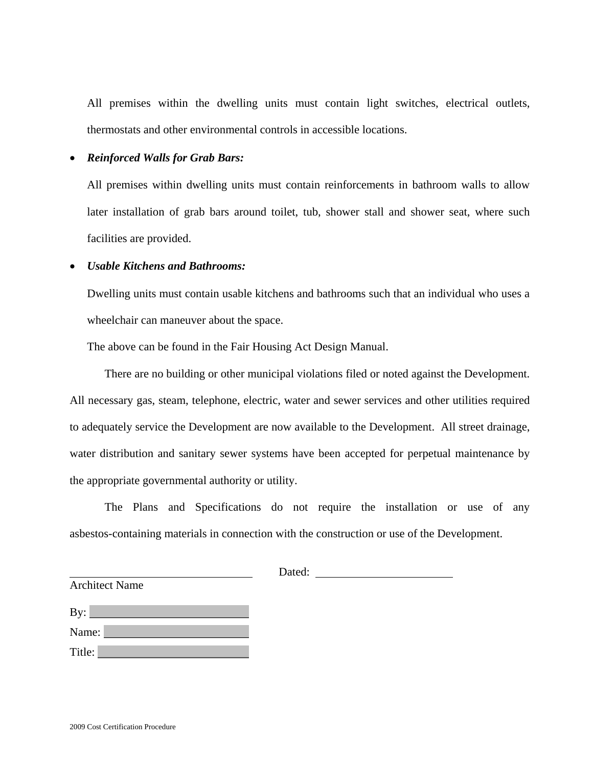All premises within the dwelling units must contain light switches, electrical outlets, thermostats and other environmental controls in accessible locations.

#### • *Reinforced Walls for Grab Bars:*

All premises within dwelling units must contain reinforcements in bathroom walls to allow later installation of grab bars around toilet, tub, shower stall and shower seat, where such facilities are provided.

#### • *Usable Kitchens and Bathrooms:*

Dwelling units must contain usable kitchens and bathrooms such that an individual who uses a wheelchair can maneuver about the space.

The above can be found in the Fair Housing Act Design Manual.

There are no building or other municipal violations filed or noted against the Development. All necessary gas, steam, telephone, electric, water and sewer services and other utilities required to adequately service the Development are now available to the Development. All street drainage, water distribution and sanitary sewer systems have been accepted for perpetual maintenance by the appropriate governmental authority or utility.

The Plans and Specifications do not require the installation or use of any asbestos-containing materials in connection with the construction or use of the Development.

| By:    |  |
|--------|--|
| Name:  |  |
| Title: |  |

Architect Name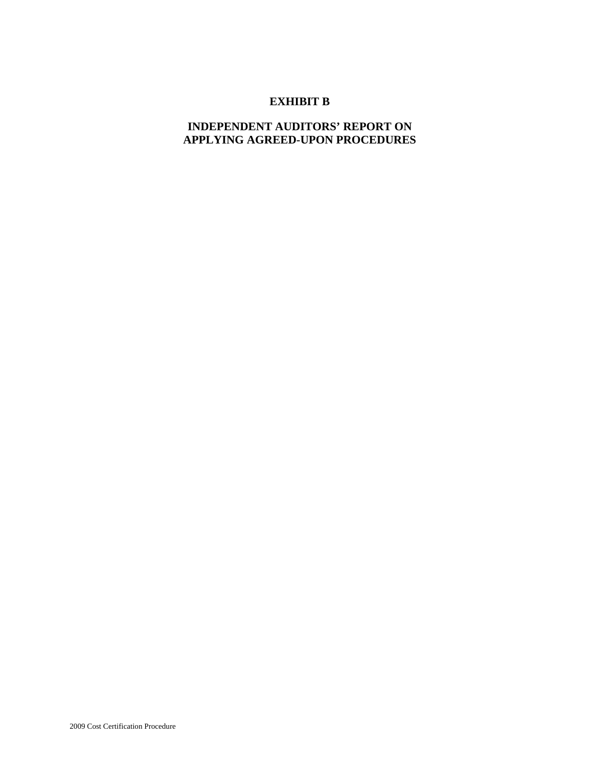#### **EXHIBIT B**

#### **INDEPENDENT AUDITORS' REPORT ON APPLYING AGREED-UPON PROCEDURES**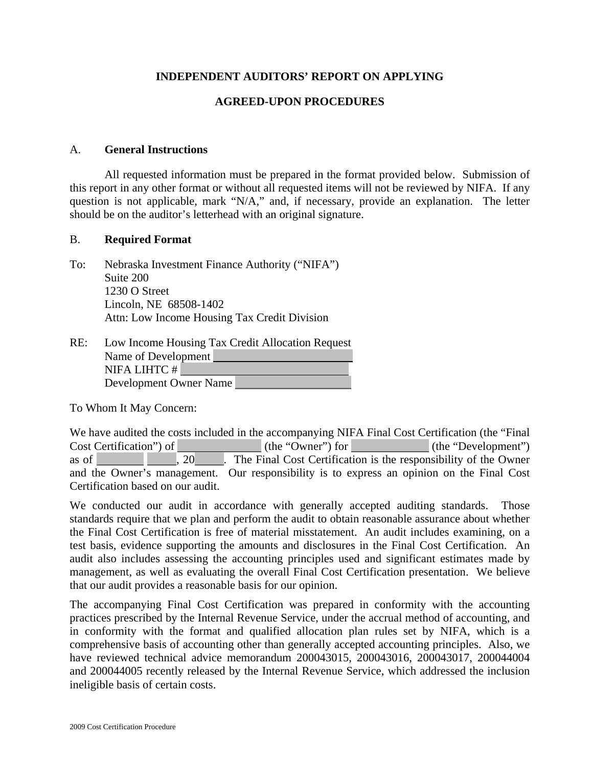#### **INDEPENDENT AUDITORS' REPORT ON APPLYING**

#### **AGREED-UPON PROCEDURES**

#### A. **General Instructions**

All requested information must be prepared in the format provided below. Submission of this report in any other format or without all requested items will not be reviewed by NIFA. If any question is not applicable, mark "N/A," and, if necessary, provide an explanation. The letter should be on the auditor's letterhead with an original signature.

#### B. **Required Format**

To: Nebraska Investment Finance Authority ("NIFA") Suite 200 1230 O Street Lincoln, NE 68508-1402 Attn: Low Income Housing Tax Credit Division

| RE: | Low Income Housing Tax Credit Allocation Request |
|-----|--------------------------------------------------|
|     | Name of Development                              |
|     | NIFA LIHTC #                                     |
|     | Development Owner Name                           |

To Whom It May Concern:

We have audited the costs included in the accompanying NIFA Final Cost Certification (the "Final Cost Certification") of (the "Owner") for (the "Development") as of  $\qquad \qquad , 20$  . The Final Cost Certification is the responsibility of the Owner and the Owner's management. Our responsibility is to express an opinion on the Final Cost Certification based on our audit.

We conducted our audit in accordance with generally accepted auditing standards. Those standards require that we plan and perform the audit to obtain reasonable assurance about whether the Final Cost Certification is free of material misstatement. An audit includes examining, on a test basis, evidence supporting the amounts and disclosures in the Final Cost Certification. An audit also includes assessing the accounting principles used and significant estimates made by management, as well as evaluating the overall Final Cost Certification presentation. We believe that our audit provides a reasonable basis for our opinion.

The accompanying Final Cost Certification was prepared in conformity with the accounting practices prescribed by the Internal Revenue Service, under the accrual method of accounting, and in conformity with the format and qualified allocation plan rules set by NIFA, which is a comprehensive basis of accounting other than generally accepted accounting principles. Also, we have reviewed technical advice memorandum 200043015, 200043016, 200043017, 200044004 and 200044005 recently released by the Internal Revenue Service, which addressed the inclusion ineligible basis of certain costs.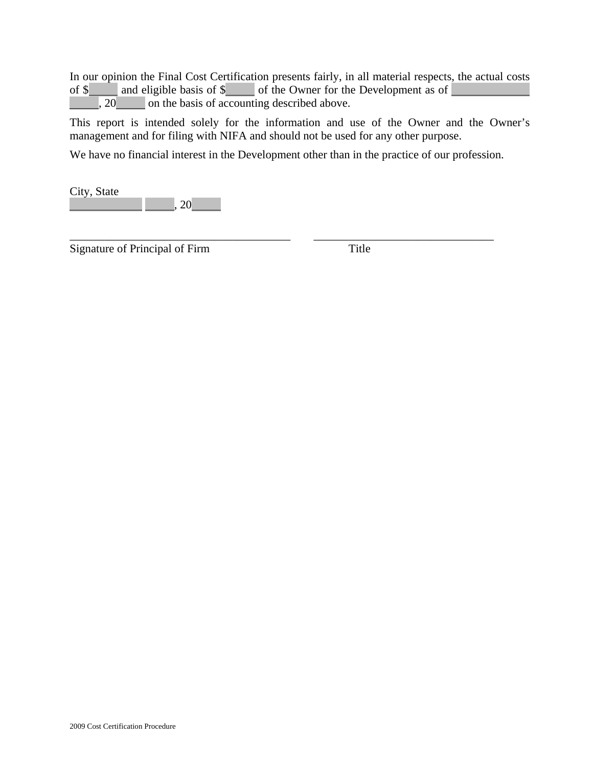In our opinion the Final Cost Certification presents fairly, in all material respects, the actual costs of  $\frac{1}{2}$  and eligible basis of  $\frac{1}{2}$  of the Owner for the Development as of , 20 on the basis of accounting described above.

This report is intended solely for the information and use of the Owner and the Owner's management and for filing with NIFA and should not be used for any other purpose.

We have no financial interest in the Development other than in the practice of our profession.

\_\_\_\_\_\_\_\_\_\_\_\_\_\_\_\_\_\_\_\_\_\_\_\_\_\_\_\_\_\_\_\_\_\_\_\_\_\_ \_\_\_\_\_\_\_\_\_\_\_\_\_\_\_\_\_\_\_\_\_\_\_\_\_\_\_\_\_\_\_

City, State , 20

Signature of Principal of Firm Title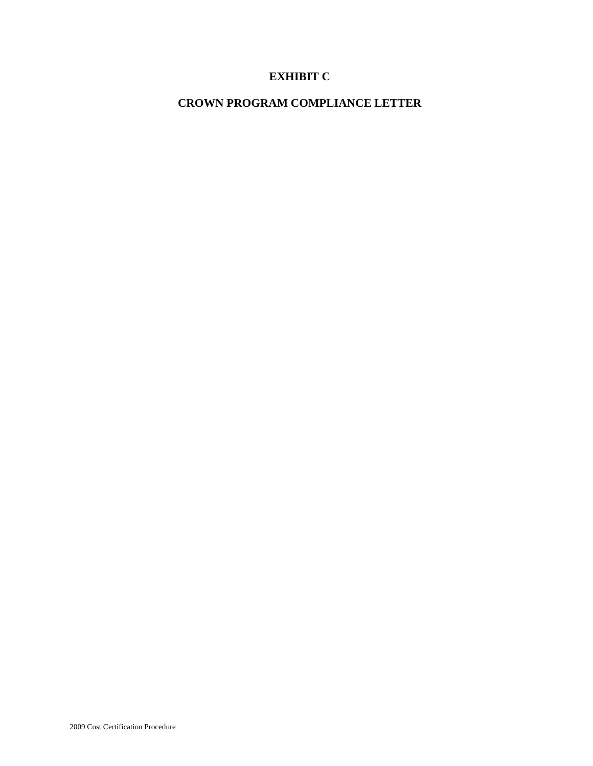### **EXHIBIT C**

# **CROWN PROGRAM COMPLIANCE LETTER**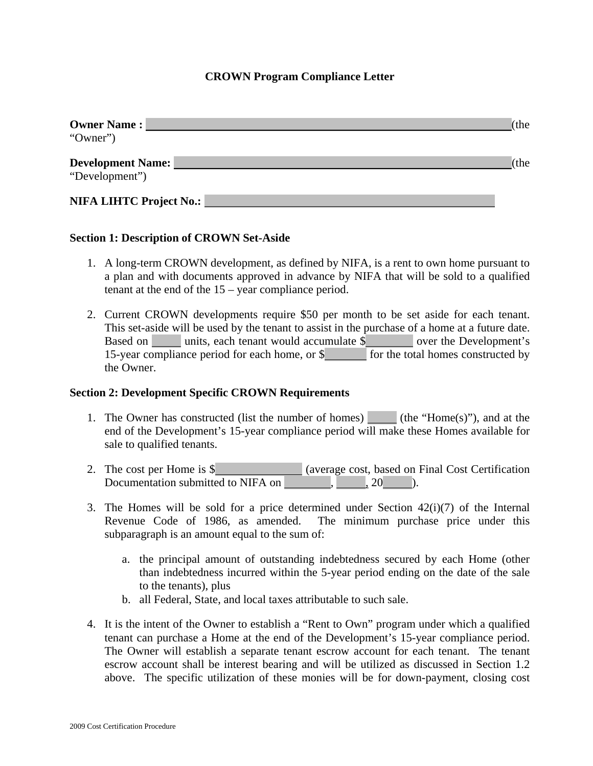#### **CROWN Program Compliance Letter**

| <b>Owner Name:</b><br>"Owner")             | (the              |
|--------------------------------------------|-------------------|
| <b>Development Name:</b><br>"Development") | $\mathcal{C}$ the |
| <b>NIFA LIHTC Project No.:</b>             |                   |

#### **Section 1: Description of CROWN Set-Aside**

- 1. A long-term CROWN development, as defined by NIFA, is a rent to own home pursuant to a plan and with documents approved in advance by NIFA that will be sold to a qualified tenant at the end of the 15 – year compliance period.
- 2. Current CROWN developments require \$50 per month to be set aside for each tenant. This set-aside will be used by the tenant to assist in the purchase of a home at a future date. Based on units, each tenant would accumulate \$ over the Development's 15-year compliance period for each home, or \$ for the total homes constructed by the Owner.

#### **Section 2: Development Specific CROWN Requirements**

- 1. The Owner has constructed (list the number of homes) (the "Home(s)"), and at the end of the Development's 15-year compliance period will make these Homes available for sale to qualified tenants.
- 2. The cost per Home is \$ (average cost, based on Final Cost Certification Documentation submitted to NIFA on  $\vert$ ,  $\vert$ , 20 ).
- 3. The Homes will be sold for a price determined under Section  $42(i)(7)$  of the Internal Revenue Code of 1986, as amended. The minimum purchase price under this subparagraph is an amount equal to the sum of:
	- a. the principal amount of outstanding indebtedness secured by each Home (other than indebtedness incurred within the 5-year period ending on the date of the sale to the tenants), plus
	- b. all Federal, State, and local taxes attributable to such sale.
- 4. It is the intent of the Owner to establish a "Rent to Own" program under which a qualified tenant can purchase a Home at the end of the Development's 15-year compliance period. The Owner will establish a separate tenant escrow account for each tenant. The tenant escrow account shall be interest bearing and will be utilized as discussed in Section 1.2 above. The specific utilization of these monies will be for down-payment, closing cost